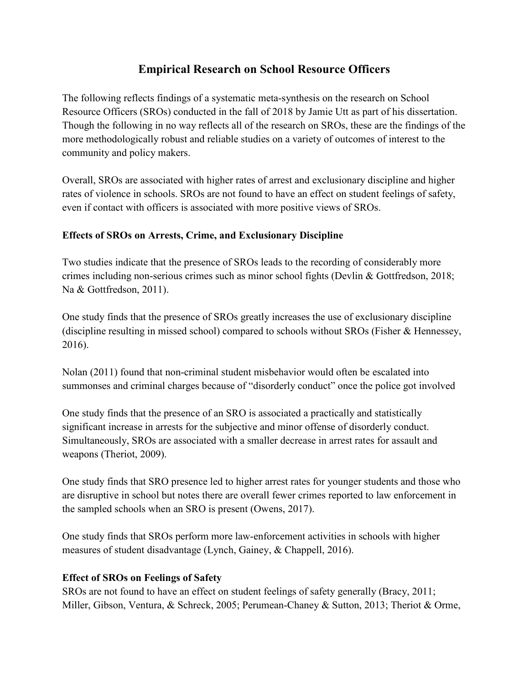# **Empirical Research on School Resource Officers**

The following reflects findings of a systematic meta-synthesis on the research on School Resource Officers (SROs) conducted in the fall of 2018 by Jamie Utt as part of his dissertation. Though the following in no way reflects all of the research on SROs, these are the findings of the more methodologically robust and reliable studies on a variety of outcomes of interest to the community and policy makers.

Overall, SROs are associated with higher rates of arrest and exclusionary discipline and higher rates of violence in schools. SROs are not found to have an effect on student feelings of safety, even if contact with officers is associated with more positive views of SROs.

## **Effects of SROs on Arrests, Crime, and Exclusionary Discipline**

Two studies indicate that the presence of SROs leads to the recording of considerably more crimes including non-serious crimes such as minor school fights (Devlin & Gottfredson, 2018; Na & Gottfredson, 2011).

One study finds that the presence of SROs greatly increases the use of exclusionary discipline (discipline resulting in missed school) compared to schools without SROs (Fisher & Hennessey, 2016).

Nolan (2011) found that non-criminal student misbehavior would often be escalated into summonses and criminal charges because of "disorderly conduct" once the police got involved

One study finds that the presence of an SRO is associated a practically and statistically significant increase in arrests for the subjective and minor offense of disorderly conduct. Simultaneously, SROs are associated with a smaller decrease in arrest rates for assault and weapons (Theriot, 2009).

One study finds that SRO presence led to higher arrest rates for younger students and those who are disruptive in school but notes there are overall fewer crimes reported to law enforcement in the sampled schools when an SRO is present (Owens, 2017).

One study finds that SROs perform more law-enforcement activities in schools with higher measures of student disadvantage (Lynch, Gainey, & Chappell, 2016).

## **Effect of SROs on Feelings of Safety**

SROs are not found to have an effect on student feelings of safety generally (Bracy, 2011; Miller, Gibson, Ventura, & Schreck, 2005; Perumean-Chaney & Sutton, 2013; Theriot & Orme,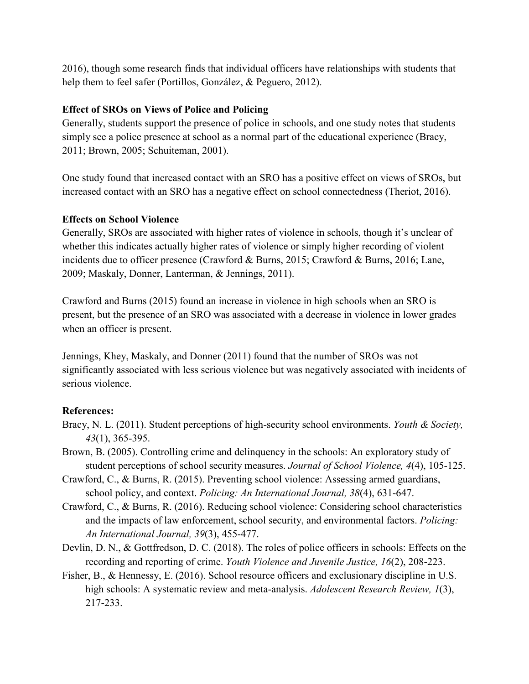2016), though some research finds that individual officers have relationships with students that help them to feel safer (Portillos, González, & Peguero, 2012).

## **Effect of SROs on Views of Police and Policing**

Generally, students support the presence of police in schools, and one study notes that students simply see a police presence at school as a normal part of the educational experience (Bracy, 2011; Brown, 2005; Schuiteman, 2001).

One study found that increased contact with an SRO has a positive effect on views of SROs, but increased contact with an SRO has a negative effect on school connectedness (Theriot, 2016).

### **Effects on School Violence**

Generally, SROs are associated with higher rates of violence in schools, though it's unclear of whether this indicates actually higher rates of violence or simply higher recording of violent incidents due to officer presence (Crawford & Burns, 2015; Crawford & Burns, 2016; Lane, 2009; Maskaly, Donner, Lanterman, & Jennings, 2011).

Crawford and Burns (2015) found an increase in violence in high schools when an SRO is present, but the presence of an SRO was associated with a decrease in violence in lower grades when an officer is present.

Jennings, Khey, Maskaly, and Donner (2011) found that the number of SROs was not significantly associated with less serious violence but was negatively associated with incidents of serious violence.

## **References:**

- Bracy, N. L. (2011). Student perceptions of high-security school environments. *Youth & Society, 43*(1), 365-395.
- Brown, B. (2005). Controlling crime and delinquency in the schools: An exploratory study of student perceptions of school security measures. *Journal of School Violence, 4*(4), 105-125.
- Crawford, C., & Burns, R. (2015). Preventing school violence: Assessing armed guardians, school policy, and context. *Policing: An International Journal, 38*(4), 631-647.
- Crawford, C., & Burns, R. (2016). Reducing school violence: Considering school characteristics and the impacts of law enforcement, school security, and environmental factors. *Policing: An International Journal, 39*(3), 455-477.
- Devlin, D. N., & Gottfredson, D. C. (2018). The roles of police officers in schools: Effects on the recording and reporting of crime. *Youth Violence and Juvenile Justice, 16*(2), 208-223.
- Fisher, B., & Hennessy, E. (2016). School resource officers and exclusionary discipline in U.S. high schools: A systematic review and meta-analysis. *Adolescent Research Review, 1*(3), 217-233.